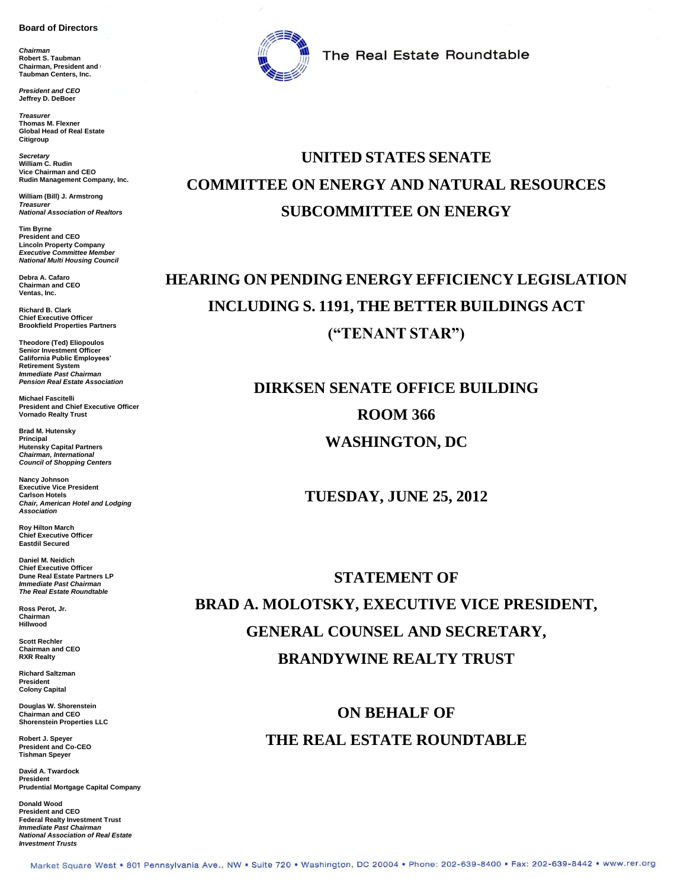#### **Board of Directors**

*Chairman* **Robert S. Taubman Chairman, President and L Taubman Centers, Inc.**

*President and CEO* **Jeffrey D. DeBoer**

*Treasurer* **Thomas M. Flexner Global Head of Real Estate Citigroup**

*Secretary* **William C. Rudin Vice Chairman and CEO Rudin Management Company, Inc.**

**William (Bill) J. Armstrong** *Treasurer National Association of Realtors*

**Tim Byrne President and CEO Lincoln Property Company** *Executive Committee Member National Multi Housing Council*

**Debra A. Cafaro Chairman and CEO Ventas, Inc.**

**Richard B. Clark Chief Executive Officer Brookfield Properties Partners**

**Theodore (Ted) Eliopoulos Senior Investment Officer California Public Employees' Retirement System** *Immediate Past Chairman Pension Real Estate Association*

**Michael Fascitelli President and Chief Executive Officer Vornado Realty Trust**

**Brad M. Hutensky Principal Hutensky Capital Partners** *Chairman, International Council of Shopping Centers*

**Nancy Johnson Executive Vice President Carlson Hotels** *Chair, American Hotel and Lodging Association*

**Roy Hilton March Chief Executive Officer Eastdil Secured**

**Daniel M. Neidich Chief Executive Officer Dune Real Estate Partners LP** *Immediate Past Chairman The Real Estate Roundtable*

**Ross Perot, Jr. Chairman Hillwood**

**Scott Rechler Chairman and CEO RXR Realty**

**Richard Saltzman President Colony Capital**

**Douglas W. Shorenstein Chairman and CEO Shorenstein Properties LLC**

**Robert J. Speyer President and Co-CEO Tishman Speyer**

**David A. Twardock President Prudential Mortgage Capital Company**

**Donald Wood President and CEO Federal Realty Investment Trust** *Immediate Past Chairman National Association of Real Estate Investment Trusts*



The Real Estate Roundtable

### **UNITED STATES SENATE COMMITTEE ON ENERGY AND NATURAL RESOURCES SUBCOMMITTEE ON ENERGY**

# **HEARING ON PENDING ENERGY EFFICIENCY LEGISLATION INCLUDING S. 1191, THE BETTER BUILDINGS ACT ("TENANT STAR")**

# **DIRKSEN SENATE OFFICE BUILDING ROOM 366 WASHINGTON, DC**

**TUESDAY, JUNE 25, 2012**

**STATEMENT OF BRAD A. MOLOTSKY, EXECUTIVE VICE PRESIDENT, GENERAL COUNSEL AND SECRETARY, BRANDYWINE REALTY TRUST**

> **ON BEHALF OF THE REAL ESTATE ROUNDTABLE**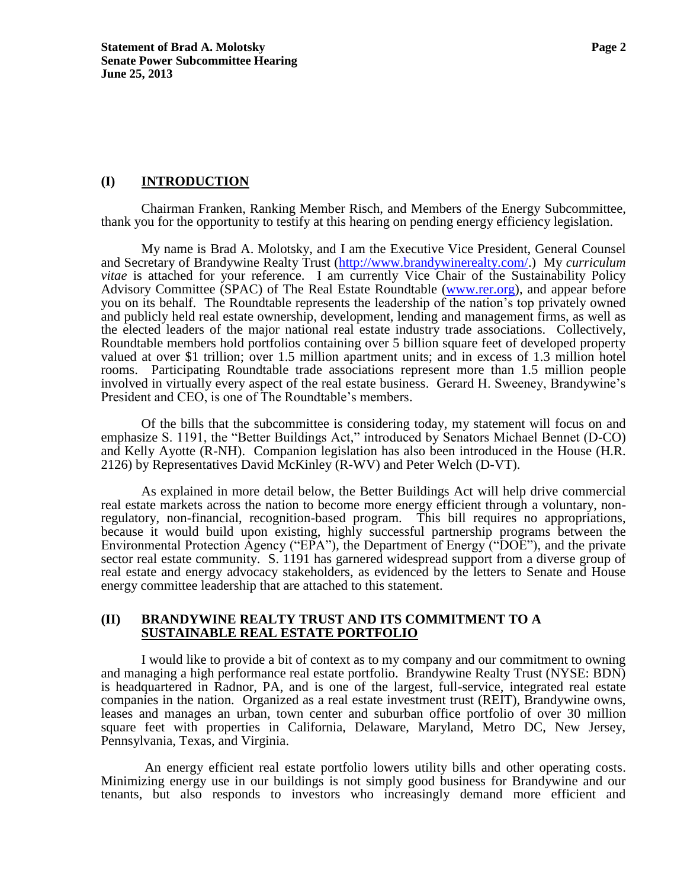#### **(I) INTRODUCTION**

Chairman Franken, Ranking Member Risch, and Members of the Energy Subcommittee, thank you for the opportunity to testify at this hearing on pending energy efficiency legislation.

My name is Brad A. Molotsky, and I am the Executive Vice President, General Counsel and Secretary of Brandywine Realty Trust [\(http://www.brandywinerealty.com/.](http://www.brandywinerealty.com/)) My *curriculum vitae* is attached for your reference. I am currently Vice Chair of the Sustainability Policy Advisory Committee (SPAC) of The Real Estate Roundtable [\(www.rer.org\)](http://www.rer.org/), and appear before you on its behalf. The Roundtable represents the leadership of the nation's top privately owned and publicly held real estate ownership, development, lending and management firms, as well as the elected leaders of the major national real estate industry trade associations. Collectively, Roundtable members hold portfolios containing over 5 billion square feet of developed property valued at over \$1 trillion; over 1.5 million apartment units; and in excess of 1.3 million hotel rooms. Participating Roundtable trade associations represent more than 1.5 million people involved in virtually every aspect of the real estate business. Gerard H. Sweeney, Brandywine's President and CEO, is one of The Roundtable's members.

Of the bills that the subcommittee is considering today, my statement will focus on and emphasize S. 1191, the "Better Buildings Act," introduced by Senators Michael Bennet (D-CO) and Kelly Ayotte (R-NH). Companion legislation has also been introduced in the House (H.R. 2126) by Representatives David McKinley (R-WV) and Peter Welch (D-VT).

As explained in more detail below, the Better Buildings Act will help drive commercial real estate markets across the nation to become more energy efficient through a voluntary, nonregulatory, non-financial, recognition-based program. This bill requires no appropriations, because it would build upon existing, highly successful partnership programs between the Environmental Protection Agency ("EPA"), the Department of Energy ("DOE"), and the private sector real estate community. S. 1191 has garnered widespread support from a diverse group of real estate and energy advocacy stakeholders, as evidenced by the letters to Senate and House energy committee leadership that are attached to this statement.

#### **(II) BRANDYWINE REALTY TRUST AND ITS COMMITMENT TO A SUSTAINABLE REAL ESTATE PORTFOLIO**

I would like to provide a bit of context as to my company and our commitment to owning and managing a high performance real estate portfolio. Brandywine Realty Trust (NYSE: BDN) is headquartered in Radnor, PA, and is one of the largest, full-service, integrated real estate companies in the nation. Organized as a real estate investment trust (REIT), Brandywine owns, leases and manages an urban, town center and suburban office portfolio of over 30 million square feet with properties in California, Delaware, Maryland, Metro DC, New Jersey, Pennsylvania, Texas, and Virginia.

An energy efficient real estate portfolio lowers utility bills and other operating costs. Minimizing energy use in our buildings is not simply good business for Brandywine and our tenants, but also responds to investors who increasingly demand more efficient and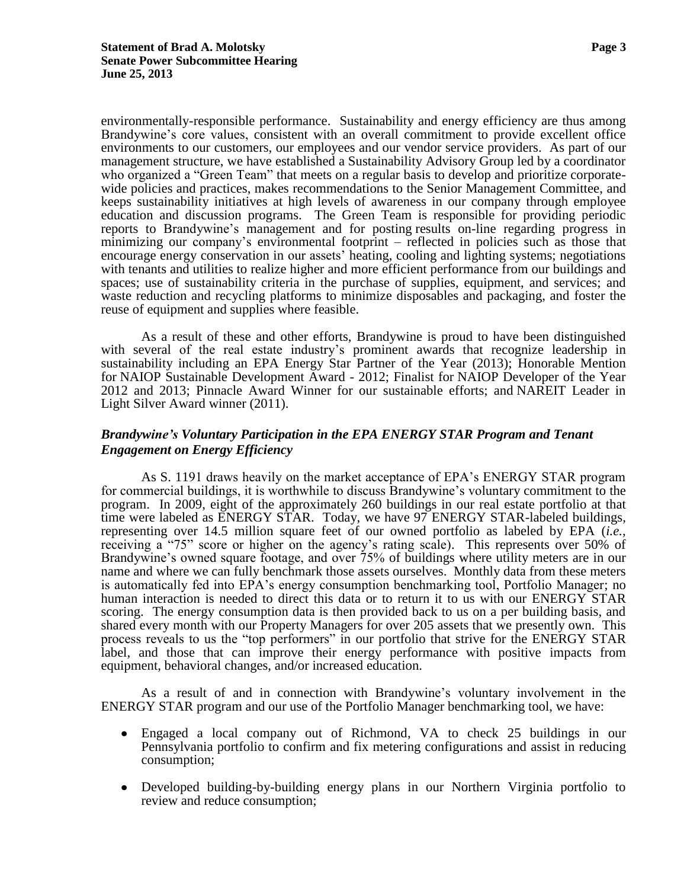environmentally-responsible performance. Sustainability and energy efficiency are thus among Brandywine's core values, consistent with an overall commitment to provide excellent office environments to our customers, our employees and our vendor service providers. As part of our management structure, we have established a Sustainability Advisory Group led by a coordinator who organized a "Green Team" that meets on a regular basis to develop and prioritize corporatewide policies and practices, makes recommendations to the Senior Management Committee, and keeps sustainability initiatives at high levels of awareness in our company through employee education and discussion programs. The Green Team is responsible for providing periodic reports to Brandywine's management and for posting results on-line regarding progress in minimizing our company's environmental footprint – reflected in policies such as those that encourage energy conservation in our assets' heating, cooling and lighting systems; negotiations with tenants and utilities to realize higher and more efficient performance from our buildings and spaces; use of sustainability criteria in the purchase of supplies, equipment, and services; and waste reduction and recycling platforms to minimize disposables and packaging, and foster the reuse of equipment and supplies where feasible.

As a result of these and other efforts, Brandywine is proud to have been distinguished with several of the real estate industry's prominent awards that recognize leadership in sustainability including an EPA Energy Star Partner of the Year (2013); Honorable Mention for NAIOP Sustainable Development Award - 2012; Finalist for NAIOP Developer of the Year 2012 and 2013; Pinnacle Award Winner for our sustainable efforts; and NAREIT Leader in Light Silver Award winner (2011).

### *Brandywine's Voluntary Participation in the EPA ENERGY STAR Program and Tenant Engagement on Energy Efficiency*

As S. 1191 draws heavily on the market acceptance of EPA's ENERGY STAR program for commercial buildings, it is worthwhile to discuss Brandywine's voluntary commitment to the program. In 2009, eight of the approximately 260 buildings in our real estate portfolio at that time were labeled as ENERGY STAR. Today, we have 97 ENERGY STAR-labeled buildings, representing over 14.5 million square feet of our owned portfolio as labeled by EPA (*i.e.*, receiving a "75" score or higher on the agency's rating scale). This represents over 50% of Brandywine's owned square footage, and over 75% of buildings where utility meters are in our name and where we can fully benchmark those assets ourselves. Monthly data from these meters is automatically fed into EPA's energy consumption benchmarking tool, Portfolio Manager; no human interaction is needed to direct this data or to return it to us with our ENERGY STAR scoring. The energy consumption data is then provided back to us on a per building basis, and shared every month with our Property Managers for over 205 assets that we presently own. This process reveals to us the "top performers" in our portfolio that strive for the ENERGY STAR label, and those that can improve their energy performance with positive impacts from equipment, behavioral changes, and/or increased education.

As a result of and in connection with Brandywine's voluntary involvement in the ENERGY STAR program and our use of the Portfolio Manager benchmarking tool, we have:

- Engaged a local company out of Richmond, VA to check 25 buildings in our  $\bullet$ Pennsylvania portfolio to confirm and fix metering configurations and assist in reducing consumption;
- Developed building-by-building energy plans in our Northern Virginia portfolio to review and reduce consumption;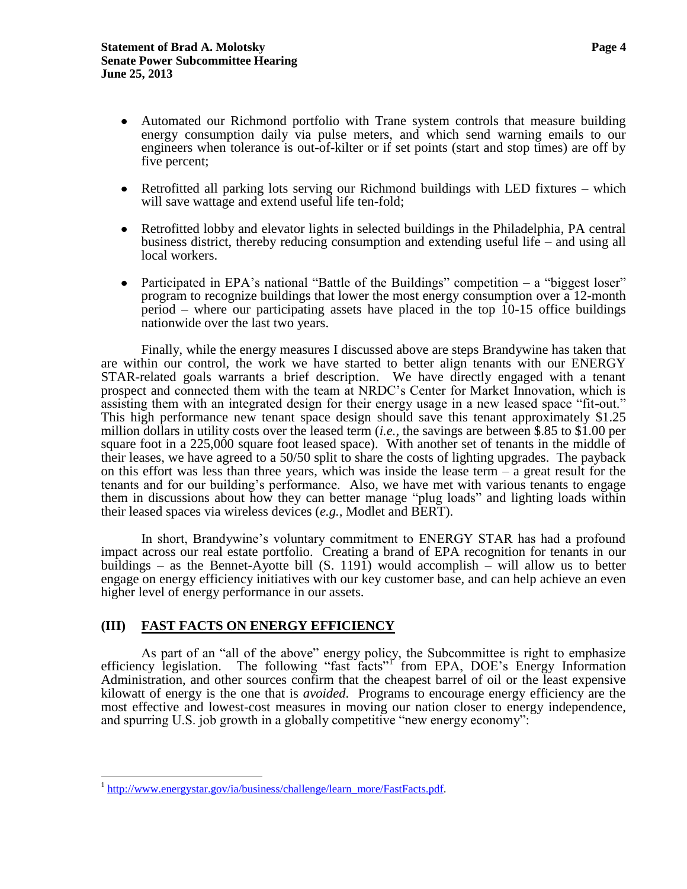- Automated our Richmond portfolio with Trane system controls that measure building energy consumption daily via pulse meters, and which send warning emails to our engineers when tolerance is out-of-kilter or if set points (start and stop times) are off by five percent;
- Retrofitted all parking lots serving our Richmond buildings with LED fixtures which  $\bullet$ will save wattage and extend useful life ten-fold;
- Retrofitted lobby and elevator lights in selected buildings in the Philadelphia, PA central business district, thereby reducing consumption and extending useful life – and using all local workers.
- Participated in EPA's national "Battle of the Buildings" competition a "biggest loser" program to recognize buildings that lower the most energy consumption over a 12-month period – where our participating assets have placed in the top 10-15 office buildings nationwide over the last two years.

Finally, while the energy measures I discussed above are steps Brandywine has taken that are within our control, the work we have started to better align tenants with our ENERGY STAR-related goals warrants a brief description. We have directly engaged with a tenant prospect and connected them with the team at NRDC's Center for Market Innovation, which is assisting them with an integrated design for their energy usage in a new leased space "fit-out." This high performance new tenant space design should save this tenant approximately \$1.25 million dollars in utility costs over the leased term (*i.e.,* the savings are between \$.85 to \$1.00 per square foot in a 225,000 square foot leased space). With another set of tenants in the middle of their leases, we have agreed to a 50/50 split to share the costs of lighting upgrades. The payback on this effort was less than three years, which was inside the lease term  $-$  a great result for the tenants and for our building's performance. Also, we have met with various tenants to engage them in discussions about how they can better manage "plug loads" and lighting loads within their leased spaces via wireless devices (*e.g.,* Modlet and BERT).

In short, Brandywine's voluntary commitment to ENERGY STAR has had a profound impact across our real estate portfolio. Creating a brand of EPA recognition for tenants in our buildings – as the Bennet-Ayotte bill (S. 1191) would accomplish – will allow us to better engage on energy efficiency initiatives with our key customer base, and can help achieve an even higher level of energy performance in our assets.

#### **(III) FAST FACTS ON ENERGY EFFICIENCY**

As part of an "all of the above" energy policy, the Subcommittee is right to emphasize efficiency legislation. The following "fast facts"<sup>1</sup> from EPA, DOE's Energy Information Administration, and other sources confirm that the cheapest barrel of oil or the least expensive kilowatt of energy is the one that is *avoided*. Programs to encourage energy efficiency are the most effective and lowest-cost measures in moving our nation closer to energy independence, and spurring U.S. job growth in a globally competitive "new energy economy":

<sup>&</sup>lt;sup>1</sup> [http://www.energystar.gov/ia/business/challenge/learn\\_more/FastFacts.pdf.](http://www.energystar.gov/ia/business/challenge/learn_more/FastFacts.pdf)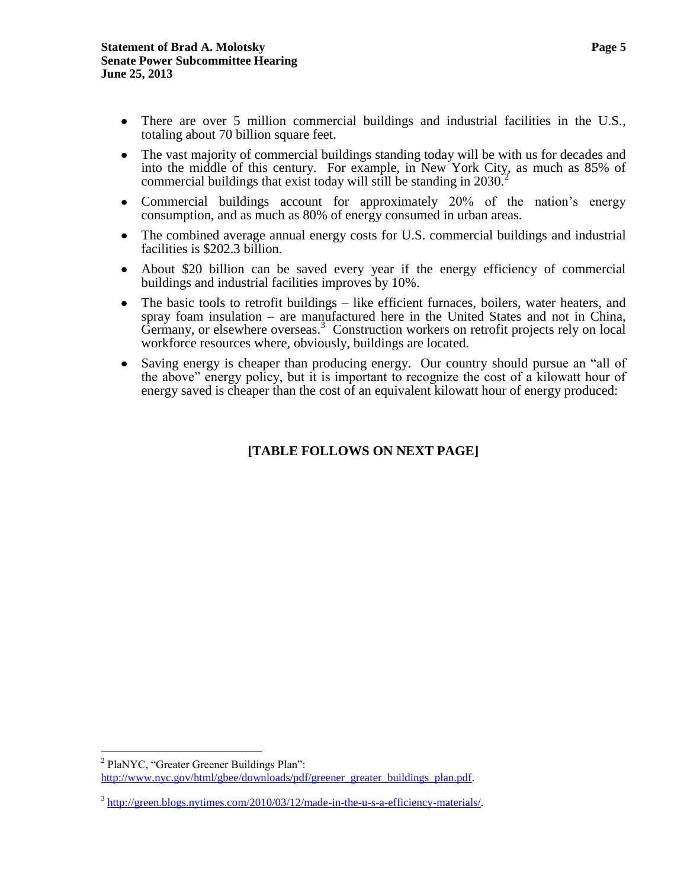- There are over 5 million commercial buildings and industrial facilities in the U.S., totaling about 70 billion square feet.
- The vast majority of commercial buildings standing today will be with us for decades and into the middle of this century. For example, in New York City, as much as 85% of commercial buildings that exist today will still be standing in 2030.<sup>2</sup>
- Commercial buildings account for approximately 20% of the nation's energy consumption, and as much as 80% of energy consumed in urban areas.
- The combined average annual energy costs for U.S. commercial buildings and industrial  $\bullet$ facilities is \$202.3 billion.
- About \$20 billion can be saved every year if the energy efficiency of commercial buildings and industrial facilities improves by 10%.
- The basic tools to retrofit buildings like efficient furnaces, boilers, water heaters, and  $\bullet$ spray foam insulation – are manufactured here in the United States and not in China, Germany, or elsewhere overseas.<sup>3</sup> Construction workers on retrofit projects rely on local workforce resources where, obviously, buildings are located.
- Saving energy is cheaper than producing energy. Our country should pursue an "all of  $\bullet$ the above" energy policy, but it is important to recognize the cost of a kilowatt hour of energy saved is cheaper than the cost of an equivalent kilowatt hour of energy produced:

### **[TABLE FOLLOWS ON NEXT PAGE]**

 $\overline{a}$ <sup>2</sup> PlaNYC, "Greater Greener Buildings Plan": [http://www.nyc.gov/html/gbee/downloads/pdf/greener\\_greater\\_buildings\\_plan.pdf.](http://www.nyc.gov/html/gbee/downloads/pdf/greener_greater_buildings_plan.pdf)

<sup>&</sup>lt;sup>3</sup> [http://green.blogs.nytimes.com/2010/03/12/made-in-the-u-s-a-efficiency-materials/.](http://green.blogs.nytimes.com/2010/03/12/made-in-the-u-s-a-efficiency-materials/)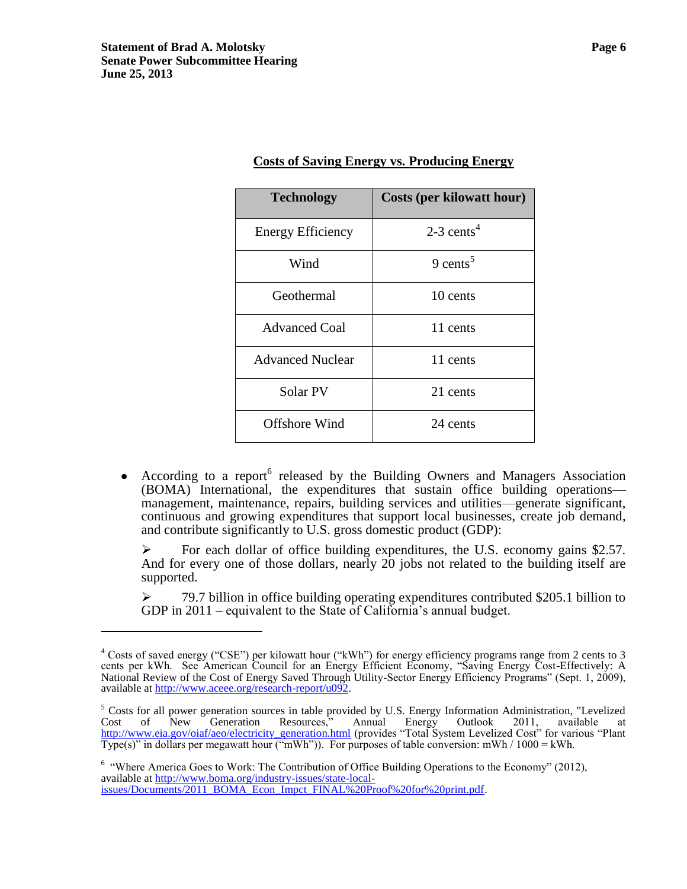$\overline{a}$ 

| <b>Technology</b>        | <b>Costs (per kilowatt hour)</b> |
|--------------------------|----------------------------------|
| <b>Energy Efficiency</b> | $2-3$ cents <sup>4</sup>         |
| Wind                     | 9 cents <sup>5</sup>             |
| Geothermal               | 10 cents                         |
| <b>Advanced Coal</b>     | 11 cents                         |
| <b>Advanced Nuclear</b>  | 11 cents                         |
| Solar PV                 | 21 cents                         |
| Offshore Wind            | 24 cents                         |

#### **Costs of Saving Energy vs. Producing Energy**

According to a report<sup>6</sup> released by the Building Owners and Managers Association  $\bullet$ (BOMA) International, the expenditures that sustain office building operations management, maintenance, repairs, building services and utilities—generate significant, continuous and growing expenditures that support local businesses, create job demand, and contribute significantly to U.S. gross domestic product (GDP):

For each dollar of office building expenditures, the U.S. economy gains  $$2.57$ . And for every one of those dollars, nearly 20 jobs not related to the building itself are supported.

 $\geq$  79.7 billion in office building operating expenditures contributed \$205.1 billion to GDP in 2011 – equivalent to the State of California's annual budget.

<sup>6</sup> "Where America Goes to Work: The Contribution of Office Building Operations to the Economy" (2012), available at [http://www.boma.org/industry-issues/state-local](http://www.boma.org/industry-issues/state-local-issues/Documents/2011_BOMA_Econ_Impct_FINAL%20Proof%20for%20print.pdf)[issues/Documents/2011\\_BOMA\\_Econ\\_Impct\\_FINAL%20Proof%20for%20print.pdf.](http://www.boma.org/industry-issues/state-local-issues/Documents/2011_BOMA_Econ_Impct_FINAL%20Proof%20for%20print.pdf)

<sup>&</sup>lt;sup>4</sup> Costs of saved energy ("CSE") per kilowatt hour ("kWh") for energy efficiency programs range from 2 cents to 3 cents per kWh. See American Council for an Energy Efficient Economy, "Saving Energy Cost-Effectively: A National Review of the Cost of Energy Saved Through Utility-Sector Energy Efficiency Programs" (Sept. 1, 2009), available at [http://www.aceee.org/research-report/u092.](http://www.aceee.org/research-report/u092)

<sup>&</sup>lt;sup>5</sup> Costs for all power generation sources in table provided by U.S. Energy Information Administration, "Levelized Cost of New Generation Resources," Annual Energy Outlook 2011, available at [http://www.eia.gov/oiaf/aeo/electricity\\_generation.html](http://www.eia.gov/oiaf/aeo/electricity_generation.html) (provides "Total System Levelized Cost" for various "Plant Type(s)" in dollars per megawatt hour ("mWh")). For purposes of table conversion: mWh /  $1000 = \text{kWh}$ .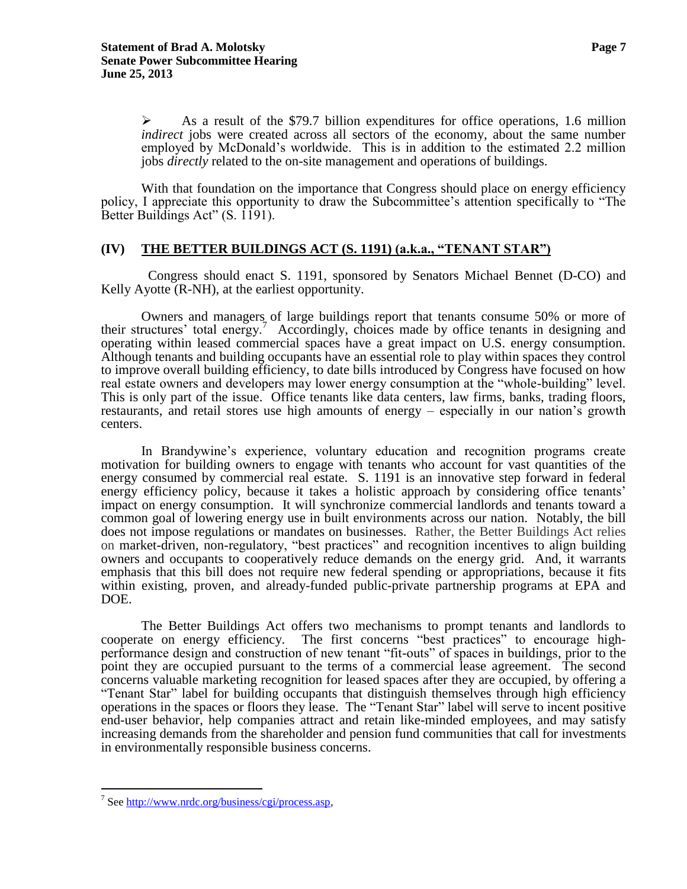As a result of the \$79.7 billion expenditures for office operations, 1.6 million *indirect* jobs were created across all sectors of the economy, about the same number employed by McDonald's worldwide. This is in addition to the estimated 2.2 million jobs *directly* related to the on-site management and operations of buildings.

With that foundation on the importance that Congress should place on energy efficiency policy, I appreciate this opportunity to draw the Subcommittee's attention specifically to "The Better Buildings Act" (S. 1191).

#### **(IV) THE BETTER BUILDINGS ACT (S. 1191) (a.k.a., "TENANT STAR")**

 Congress should enact S. 1191, sponsored by Senators Michael Bennet (D-CO) and Kelly Ayotte (R-NH), at the earliest opportunity.

Owners and managers of large buildings report that tenants consume 50% or more of their structures' total energy.<sup>7</sup> Accordingly, choices made by office tenants in designing and operating within leased commercial spaces have a great impact on U.S. energy consumption. Although tenants and building occupants have an essential role to play within spaces they control to improve overall building efficiency, to date bills introduced by Congress have focused on how real estate owners and developers may lower energy consumption at the "whole-building" level. This is only part of the issue. Office tenants like data centers, law firms, banks, trading floors, restaurants, and retail stores use high amounts of energy – especially in our nation's growth centers.

In Brandywine's experience, voluntary education and recognition programs create motivation for building owners to engage with tenants who account for vast quantities of the energy consumed by commercial real estate. S. 1191 is an innovative step forward in federal energy efficiency policy, because it takes a holistic approach by considering office tenants' impact on energy consumption. It will synchronize commercial landlords and tenants toward a common goal of lowering energy use in built environments across our nation. Notably, the bill does not impose regulations or mandates on businesses. Rather, the Better Buildings Act relies on market-driven, non-regulatory, "best practices" and recognition incentives to align building owners and occupants to cooperatively reduce demands on the energy grid. And, it warrants emphasis that this bill does not require new federal spending or appropriations, because it fits within existing, proven, and already-funded public-private partnership programs at EPA and DOE.

The Better Buildings Act offers two mechanisms to prompt tenants and landlords to cooperate on energy efficiency. The first concerns "best practices" to encourage highperformance design and construction of new tenant "fit-outs" of spaces in buildings, prior to the point they are occupied pursuant to the terms of a commercial lease agreement. The second concerns valuable marketing recognition for leased spaces after they are occupied, by offering a "Tenant Star" label for building occupants that distinguish themselves through high efficiency operations in the spaces or floors they lease. The "Tenant Star" label will serve to incent positive end-user behavior, help companies attract and retain like-minded employees, and may satisfy increasing demands from the shareholder and pension fund communities that call for investments in environmentally responsible business concerns.

<sup>&</sup>lt;sup>7</sup> Se[e http://www.nrdc.org/business/cgi/process.asp,](http://www.nrdc.org/business/cgi/process.asp)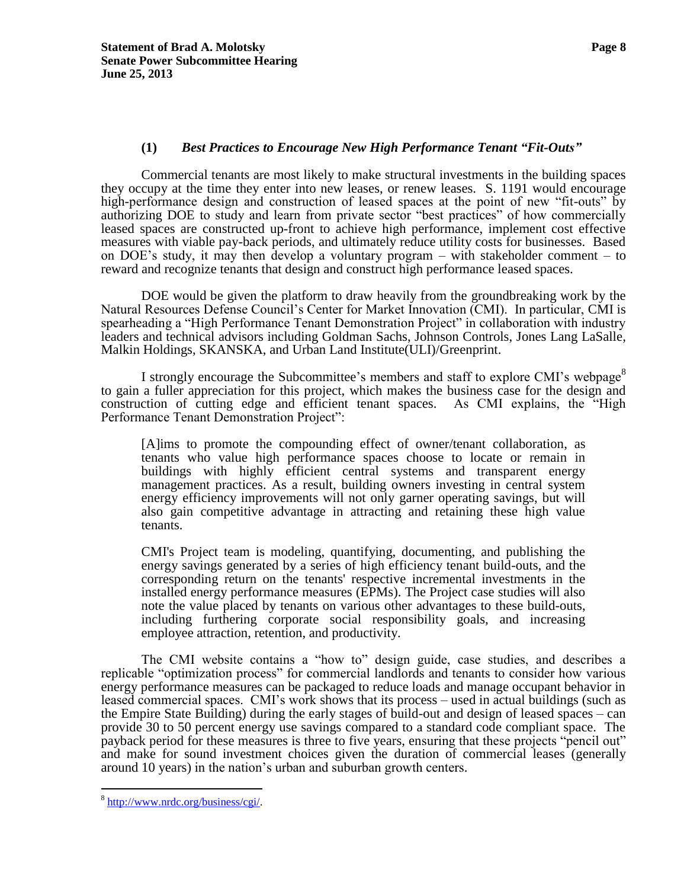#### **(1)** *Best Practices to Encourage New High Performance Tenant "Fit-Outs"*

Commercial tenants are most likely to make structural investments in the building spaces they occupy at the time they enter into new leases, or renew leases. S. 1191 would encourage high-performance design and construction of leased spaces at the point of new "fit-outs" by authorizing DOE to study and learn from private sector "best practices" of how commercially leased spaces are constructed up-front to achieve high performance, implement cost effective measures with viable pay-back periods, and ultimately reduce utility costs for businesses. Based on DOE's study, it may then develop a voluntary program – with stakeholder comment – to reward and recognize tenants that design and construct high performance leased spaces.

DOE would be given the platform to draw heavily from the groundbreaking work by the Natural Resources Defense Council's Center for Market Innovation (CMI). In particular, CMI is spearheading a "High Performance Tenant Demonstration Project" in collaboration with industry leaders and technical advisors including [Goldman Sachs,](http://www2.goldmansachs.com/citizenship/environmental-stewardship-and-sustainability/index.html) [Johnson Controls,](http://www.johnsoncontrols.com/) [Jones Lang LaSalle,](http://www.joneslanglasalle.com/Pages/Home.aspx) [Malkin Holdings,](http://malkinproperties.com/) [SKANSKA,](http://www.usa.skanska.com/) and [Urban Land Institute\(ULI\)/Greenprint.](http://www.greenprintfoundation.org/Default.aspx)

I strongly encourage the Subcommittee's members and staff to explore CMI's webpage<sup>8</sup> to gain a fuller appreciation for this project, which makes the business case for the design and construction of cutting edge and efficient tenant spaces. As CMI explains, the "High Performance Tenant Demonstration Project":

[A]ims to promote the compounding effect of owner/tenant collaboration, as tenants who value high performance spaces choose to locate or remain in buildings with highly efficient central systems and transparent energy management practices. As a result, building owners investing in central system energy efficiency improvements will not only garner operating savings, but will also gain competitive advantage in attracting and retaining these high value tenants.

CMI's Project team is modeling, quantifying, documenting, and publishing the energy savings generated by a series of high efficiency tenant build-outs, and the corresponding return on the tenants' respective incremental investments in the installed energy performance measures (EPMs). The Project case studies will also note the value placed by tenants on various other advantages to these build-outs, including furthering corporate social responsibility goals, and increasing employee attraction, retention, and productivity.

The CMI website contains a "how to" design guide, case studies, and describes a replicable "optimization process" for commercial landlords and tenants to consider how various energy performance measures can be packaged to reduce loads and manage occupant behavior in leased commercial spaces. CMI's work shows that its process – used in actual buildings (such as the Empire State Building) during the early stages of build-out and design of leased spaces – can provide 30 to 50 percent energy use savings compared to a standard code compliant space. The payback period for these measures is three to five years, ensuring that these projects "pencil out" and make for sound investment choices given the duration of commercial leases (generally around 10 years) in the nation's urban and suburban growth centers.

<sup>&</sup>lt;sup>8</sup> [http://www.nrdc.org/business/cgi/.](http://www.nrdc.org/business/cgi/)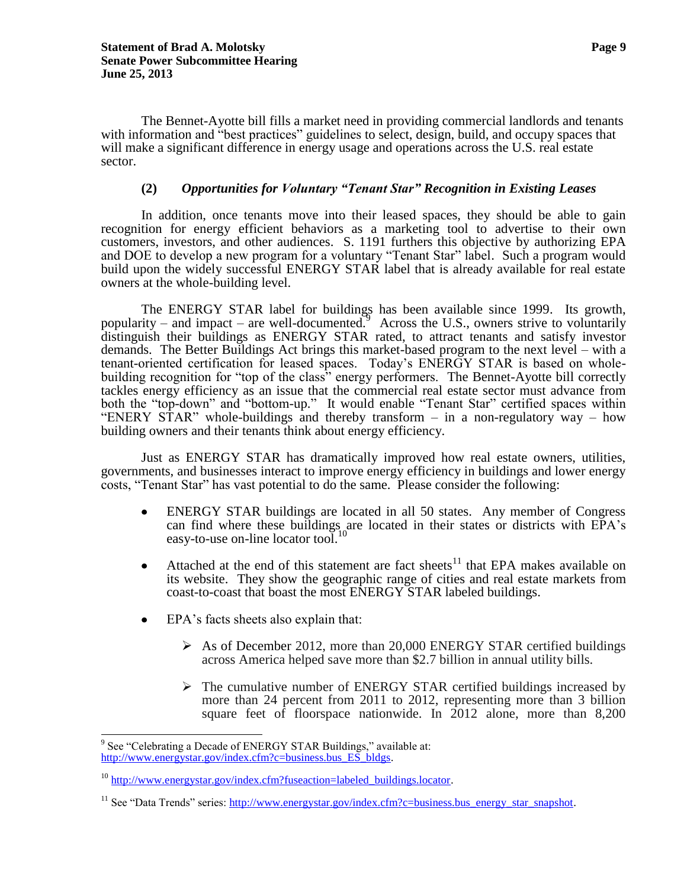The Bennet-Ayotte bill fills a market need in providing commercial landlords and tenants with information and "best practices" guidelines to select, design, build, and occupy spaces that will make a significant difference in energy usage and operations across the U.S. real estate sector.

#### **(2)** *Opportunities for Voluntary "Tenant Star" Recognition in Existing Leases*

In addition, once tenants move into their leased spaces, they should be able to gain recognition for energy efficient behaviors as a marketing tool to advertise to their own customers, investors, and other audiences. S. 1191 furthers this objective by authorizing EPA and DOE to develop a new program for a voluntary "Tenant Star" label. Such a program would build upon the widely successful ENERGY STAR label that is already available for real estate owners at the whole-building level.

The ENERGY STAR label for buildings has been available since 1999. Its growth, popularity – and impact – are well-documented.  $\frac{3}{2}$  Across the U.S., owners strive to voluntarily distinguish their buildings as ENERGY STAR rated, to attract tenants and satisfy investor demands. The Better Buildings Act brings this market-based program to the next level – with a tenant-oriented certification for leased spaces. Today's ENERGY STAR is based on wholebuilding recognition for "top of the class" energy performers. The Bennet-Ayotte bill correctly tackles energy efficiency as an issue that the commercial real estate sector must advance from both the "top-down" and "bottom-up." It would enable "Tenant Star" certified spaces within "ENERY STAR" whole-buildings and thereby transform – in a non-regulatory way – how building owners and their tenants think about energy efficiency.

Just as ENERGY STAR has dramatically improved how real estate owners, utilities, governments, and businesses interact to improve energy efficiency in buildings and lower energy costs, "Tenant Star" has vast potential to do the same. Please consider the following:

- ENERGY STAR buildings are located in all 50 states. Any member of Congress  $\bullet$ can find where these buildings are located in their states or districts with EPA's easy-to-use on-line locator tool.<sup>10</sup>
- Attached at the end of this statement are fact sheets<sup>11</sup> that EPA makes available on  $\bullet$ its website. They show the geographic range of cities and real estate markets from coast-to-coast that boast the most ENERGY STAR labeled buildings.
- EPA's facts sheets also explain that:
	- $\triangleright$  As of December 2012, more than 20,000 ENERGY STAR certified buildings across America helped save more than \$2.7 billion in annual utility bills.
	- $\triangleright$  The cumulative number of ENERGY STAR certified buildings increased by more than 24 percent from 2011 to 2012, representing more than 3 billion square feet of floorspace nationwide. In 2012 alone, more than 8,200

<sup>&</sup>lt;sup>9</sup> See "Celebrating a Decade of ENERGY STAR Buildings," available at: [http://www.energystar.gov/index.cfm?c=business.bus\\_ES\\_bldgs.](http://www.energystar.gov/index.cfm?c=business.bus_ES_bldgs)

<sup>&</sup>lt;sup>10</sup> [http://www.energystar.gov/index.cfm?fuseaction=labeled\\_buildings.locator.](http://www.energystar.gov/index.cfm?fuseaction=labeled_buildings.locator)

<sup>&</sup>lt;sup>11</sup> See "Data Trends" series: [http://www.energystar.gov/index.cfm?c=business.bus\\_energy\\_star\\_snapshot.](http://www.energystar.gov/index.cfm?c=business.bus_energy_star_snapshot)